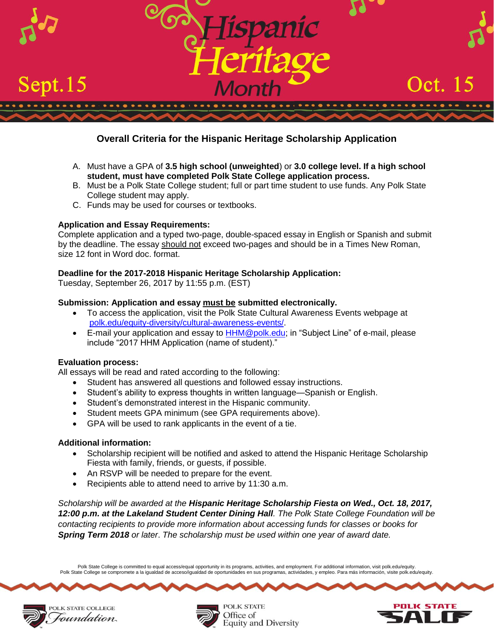

# **Overall Criteria for the Hispanic Heritage Scholarship Application**

- A. Must have a GPA of **3.5 high school (unweighted**) or **3.0 college level. If a high school student, must have completed Polk State College application process.**
- B. Must be a Polk State College student; full or part time student to use funds. Any Polk State College student may apply.
- C. Funds may be used for courses or textbooks.

# **Application and Essay Requirements:**

Complete application and a typed two-page, double-spaced essay in English or Spanish and submit by the deadline. The essay should not exceed two-pages and should be in a Times New Roman, size 12 font in Word doc. format.

# **Deadline for the 2017-2018 Hispanic Heritage Scholarship Application:**

Tuesday, September 26, 2017 by 11:55 p.m. (EST)

### **Submission: Application and essay must be submitted electronically.**

- To access the application, visit the Polk State Cultural Awareness Events webpage at [polk.edu/equity-diversity/cultural-awareness-events/.](https://www.polk.edu/equity-diversity/cultural-awareness-events/)
- E-mail your application and essay to **HHM@polk.edu**; in "Subject Line" of e-mail, please include "2017 HHM Application (name of student)."

### **Evaluation process:**

All essays will be read and rated according to the following:

- Student has answered all questions and followed essay instructions.
- Student's ability to express thoughts in written language—Spanish or English.
- Student's demonstrated interest in the Hispanic community.
- Student meets GPA minimum (see GPA requirements above).
- GPA will be used to rank applicants in the event of a tie.

### **Additional information:**

- Scholarship recipient will be notified and asked to attend the Hispanic Heritage Scholarship Fiesta with family, friends, or guests, if possible.
- An RSVP will be needed to prepare for the event.
- Recipients able to attend need to arrive by 11:30 a.m.

*Scholarship will be awarded at the Hispanic Heritage Scholarship Fiesta on Wed., Oct. 18, 2017, 12:00 p.m. at the Lakeland Student Center Dining Hall. The Polk State College Foundation will be contacting recipients to provide more information about accessing funds for classes or books for Spring Term 2018 or later*. *The scholarship must be used within one year of award date.*

Polk State College is committed to equal access/equal opportunity in its programs, activities, and employment. For additional information, visit polk.edu/equity. Polk State College se compromete a la igualdad de acceso/igualdad de oportunidades en sus programas, actividades, y empleo. Para más información, visite polk.edu/